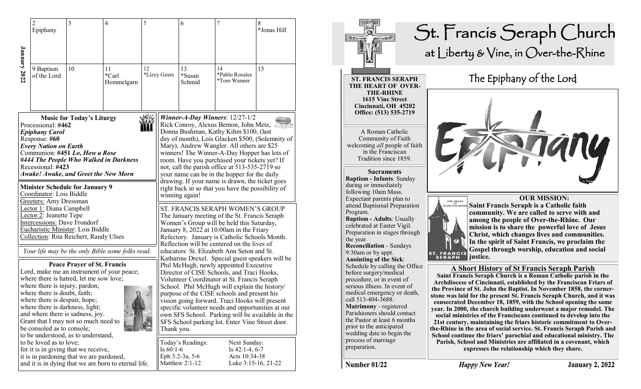|              | $\overline{2}$<br>Epiphany                                                                                                                                                                                                                                                                                                                             | 3                                                                                                                                                                                                | $\overline{4}$                                       | 5                                                                                                                                                                                                                                                                                                                                                                                                                                                                                                                   |              | 6                                                                                                                                                                                                                                                                                                                                                                                                                                                                                                                                                    | $\overline{7}$                                                           | 8<br>*Jonas Hill |
|--------------|--------------------------------------------------------------------------------------------------------------------------------------------------------------------------------------------------------------------------------------------------------------------------------------------------------------------------------------------------------|--------------------------------------------------------------------------------------------------------------------------------------------------------------------------------------------------|------------------------------------------------------|---------------------------------------------------------------------------------------------------------------------------------------------------------------------------------------------------------------------------------------------------------------------------------------------------------------------------------------------------------------------------------------------------------------------------------------------------------------------------------------------------------------------|--------------|------------------------------------------------------------------------------------------------------------------------------------------------------------------------------------------------------------------------------------------------------------------------------------------------------------------------------------------------------------------------------------------------------------------------------------------------------------------------------------------------------------------------------------------------------|--------------------------------------------------------------------------|------------------|
| January 2022 | 9 Baptism<br>of the Lord                                                                                                                                                                                                                                                                                                                               | 10                                                                                                                                                                                               | 11<br>*Carl<br>Hemmelgarn                            | 12                                                                                                                                                                                                                                                                                                                                                                                                                                                                                                                  | *Lizzy Geers | 13<br>*Susan<br>Schmid                                                                                                                                                                                                                                                                                                                                                                                                                                                                                                                               | 14<br>*Pablo Rosales<br>*Tom Wanner                                      | 15               |
|              | <b>Music for Today's Liturgy</b><br>Processional: #462<br><b>Epiphany Carol</b><br>Response: #60<br><b>Every Nation on Earth</b><br>Communion: #451 Lo, How a Rose<br>#444 The People Who Walked in Darkness<br>Recessional: #423<br><b>Awake! Awake, and Greet the New Morn</b><br><b>Minister Schedule for January 9</b><br>Coordinator: Lois Biddle |                                                                                                                                                                                                  |                                                      |                                                                                                                                                                                                                                                                                                                                                                                                                                                                                                                     |              | Winner-A-Day Winners: $12/27-1/2$<br>Rick Conroy, Alexus Benton, John Metz,<br>Donna Bushman, Kathy Kihm \$100, (last<br>day of month), Lois Glacken \$500, (Solemnity of<br>Mary), Andrew Wangler. All others are \$25<br>winners! The Winner-A-Day Hopper has lots of<br>room. Have you purchased your tickets yet? If<br>not, call the parish office at 513-535-2719 so<br>your name can be in the hopper for the daily<br>drawing. If your name is drawn, the ticket goes<br>right back in so that you have the possibility of<br>winning again! |                                                                          |                  |
|              | <b>Greeters:</b> Amy Dressman<br>Lector 1: Diana Campbell<br>Lector 2: Jeanette Tepe<br>Intercessions: Dave Frondorf                                                                                                                                                                                                                                   | Eucharistic Minister: Lois Biddle<br>Collection: Rita Reichert, Randy Ulses                                                                                                                      | Your life may be the only Bible some folks read.     | ST. FRANCIS SERAPH WOMEN'S GROUP<br>The January meeting of the St. Francis Seraph<br>Women's Group will be held this Saturday,<br>January 8, 2022 at 10:00am in the Friary<br>Refectory. January is Catholic Schools Month.<br>Reflection will be centered on the lives of<br>educators St. Elizabeth Ann Seton and St.                                                                                                                                                                                             |              |                                                                                                                                                                                                                                                                                                                                                                                                                                                                                                                                                      |                                                                          |                  |
|              | where there is injury, pardon;<br>where there is doubt, faith;<br>where there is despair, hope;<br>where there is darkness, light;<br>be consoled as to console;                                                                                                                                                                                       | <b>Peace Prayer of St. Francis</b><br>where there is hatred, let me sow love;<br>and where there is sadness, joy.<br>Grant that I may not so much need to<br>to be understood, as to understand, | Lord, make me an instrument of your peace;           | Katharine Drexel. Special guest speakers will be<br>Phil McHugh, newly appointed Executive<br>Director of CISE Schools, and Traci Hooks,<br>Volunteer Coordinator at St. Francis Seraph<br>School. Phil McHugh will explain the history/<br>purpose of the CISE schools and present his<br>vision going forward. Traci Hooks will present<br>specific volunteer needs and opportunities at our<br>own SFS School. Parking will be available in the<br>SFS School parking lot. Enter Vine Street door.<br>Thank you. |              |                                                                                                                                                                                                                                                                                                                                                                                                                                                                                                                                                      |                                                                          |                  |
|              | to be loved as to love;                                                                                                                                                                                                                                                                                                                                | for it is in giving that we receive,<br>it is in pardoning that we are pardoned,                                                                                                                 | and it is in dying that we are born to eternal life. |                                                                                                                                                                                                                                                                                                                                                                                                                                                                                                                     | Is $60:1-6$  | Today's Readings:<br>Eph 3:2-3a, 5-6<br>Matthew 2:1-12                                                                                                                                                                                                                                                                                                                                                                                                                                                                                               | Next Sunday:<br>Is $42:1-4, 6-7$<br>Acts 10:34-38<br>Luke 3:15-16, 21-22 |                  |